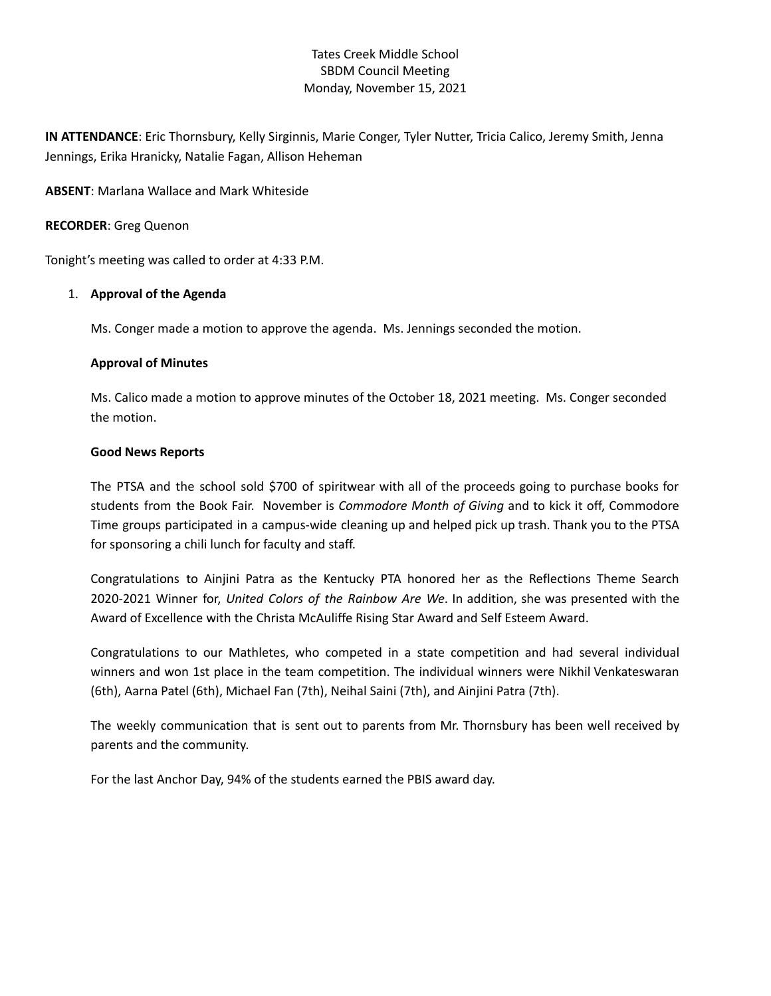# Tates Creek Middle School SBDM Council Meeting Monday, November 15, 2021

**IN ATTENDANCE**: Eric Thornsbury, Kelly Sirginnis, Marie Conger, Tyler Nutter, Tricia Calico, Jeremy Smith, Jenna Jennings, Erika Hranicky, Natalie Fagan, Allison Heheman

**ABSENT**: Marlana Wallace and Mark Whiteside

## **RECORDER**: Greg Quenon

Tonight's meeting was called to order at 4:33 P.M.

## 1. **Approval of the Agenda**

Ms. Conger made a motion to approve the agenda. Ms. Jennings seconded the motion.

## **Approval of Minutes**

Ms. Calico made a motion to approve minutes of the October 18, 2021 meeting. Ms. Conger seconded the motion.

## **Good News Reports**

The PTSA and the school sold \$700 of spiritwear with all of the proceeds going to purchase books for students from the Book Fair. November is *Commodore Month of Giving* and to kick it off, Commodore Time groups participated in a campus-wide cleaning up and helped pick up trash. Thank you to the PTSA for sponsoring a chili lunch for faculty and staff.

Congratulations to Ainjini Patra as the Kentucky PTA honored her as the Reflections Theme Search 2020-2021 Winner for, *United Colors of the Rainbow Are We*. In addition, she was presented with the Award of Excellence with the Christa McAuliffe Rising Star Award and Self Esteem Award.

Congratulations to our Mathletes, who competed in a state competition and had several individual winners and won 1st place in the team competition. The individual winners were Nikhil Venkateswaran (6th), Aarna Patel (6th), Michael Fan (7th), Neihal Saini (7th), and Ainjini Patra (7th).

The weekly communication that is sent out to parents from Mr. Thornsbury has been well received by parents and the community.

For the last Anchor Day, 94% of the students earned the PBIS award day.